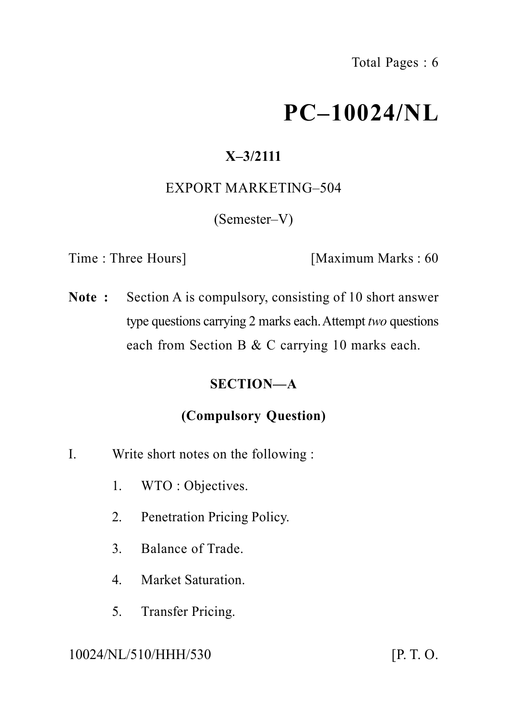# **PC–10024/NL**

# **X–3/2111**

# EXPORT MARKETING–504

(Semester–V)

Time : Three Hours] [Maximum Marks : 60]

**Note :** Section A is compulsory, consisting of 10 short answer type questions carrying 2 marks each.Attempt *two* questions each from Section B & C carrying 10 marks each.

# **SECTION—A**

# **(Compulsory Question)**

- I. Write short notes on the following :
	- 1. WTO : Objectives.
	- 2. Penetration Pricing Policy.
	- 3. Balance of Trade.
	- 4. Market Saturation.
	- 5. Transfer Pricing.

10024/NL/510/HHH/530 [P. T. O.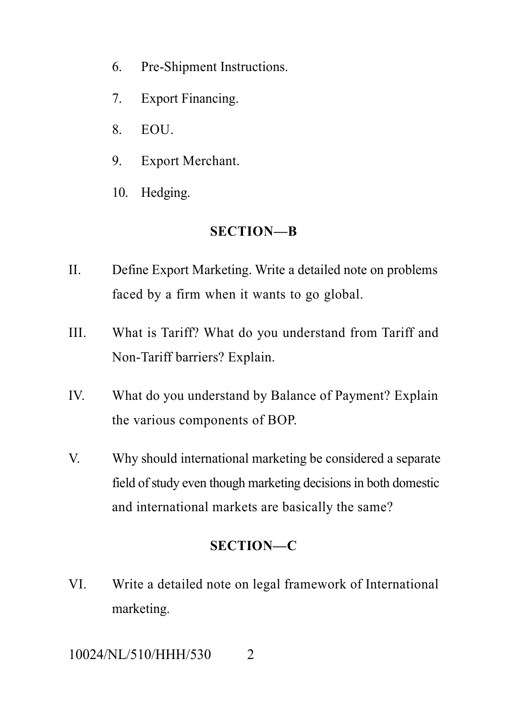- 6. Pre-Shipment Instructions.
- 7. Export Financing.
- 8. EOU.
- 9. Export Merchant.
- 10. Hedging.

## **SECTION—B**

- II. Define Export Marketing. Write a detailed note on problems faced by a firm when it wants to go global.
- III. What is Tariff? What do you understand from Tariff and Non-Tariff barriers? Explain.
- IV. What do you understand by Balance of Payment? Explain the various components of BOP.
- V. Why should international marketing be considered a separate field of study even though marketing decisions in both domestic and international markets are basically the same?

# **SECTION—C**

VI. Write a detailed note on legal framework of International marketing.

$$
10024/NL/510/HHH/530 \t 2
$$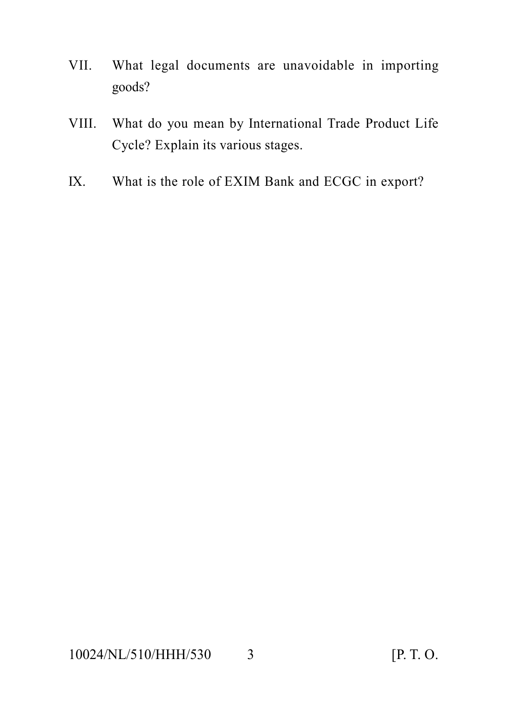- VII. What legal documents are unavoidable in importing goods?
- VIII. What do you mean by International Trade Product Life Cycle? Explain its various stages.
- IX. What is the role of EXIM Bank and ECGC in export?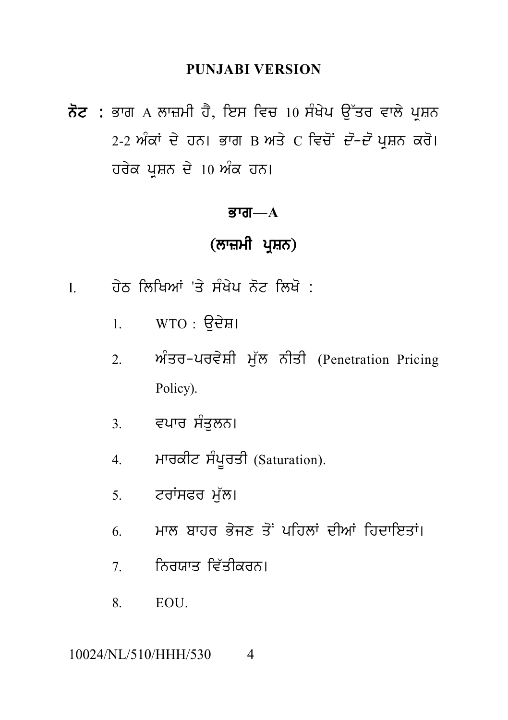### **PUNJABI VERSION**

ਨੋਟ : ਭਾਗ A ਲਾਜ਼ਮੀ ਹੈ, ਇਸ ਵਿਚ 10 ਸੰਖੇਪ ਉੱਤਰ ਵਾਲੇ ਪੁਸ਼ਨ 2-2 ਅੰਕਾਂ ਦੇ ਹਨ। ਭਾਗ B ਅਤੇ C ਵਿਚੋਂ *ਦੋ-ਦੋ* ਪੁਸ਼ਨ ਕਰੋ। ਹਰੇਕ ਪਸ਼ਨ ਦੇ 10 ਅੰਕ ਹਨ।

#### ਭਾਗ $-\mathbf{A}$

# (ਲਾਜ਼ਮੀ ਪੁਸ਼ਨ)

- ਹੇਠ ਲਿਖਿਆਂ 'ਤੇ ਸੰਖੇਪ ਨੋਟ ਲਿਖੋ :  $\mathbf{I}$ 
	- $1.$  WTO : ਉਦੇਸ਼।
	- ਅੰਤਰ-ਪਰਵੇਸ਼ੀ ਮੁੱਲ ਨੀਤੀ (Penetration Pricing  $2<sub>1</sub>$ Policy).
	- 3. ਵਪਾਰ ਸੰਤੁਲਨ।
	- ਮਾਰਕੀਟ ਸੰਪੂਰਤੀ (Saturation).  $4<sub>1</sub>$
	- 5. ਟਰਾਂਸਫਰ ਮੁੱਲ।
	- ਮਾਲ ਬਾਹਰ ਕੇਜ਼ਣ ਤੋਂ ਪਹਿਲਾਂ ਦੀਆਂ ਹਿਦਾਇਤਾਂ।  $6<sup>1</sup>$
	- 7 ਨਿਰਯਾਤ ਵਿੱਤੀਕਰਨ।
	- 8. EQU.

#### 10024/NL/510/HHH/530  $\overline{4}$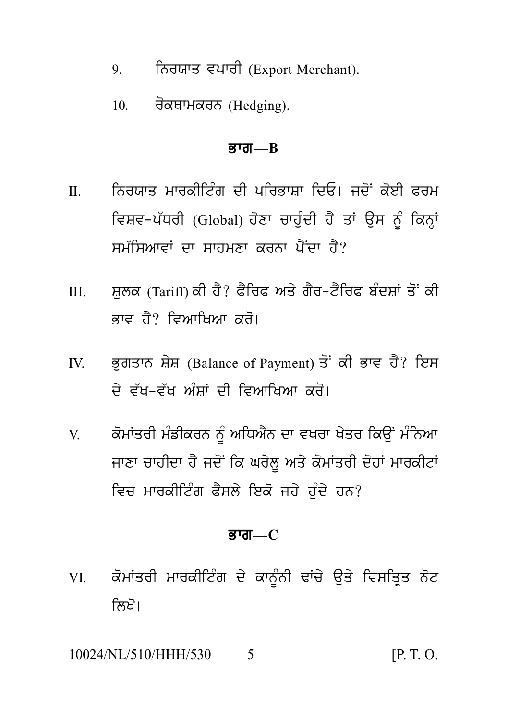- ਨਿਰਯਾਤ ਵਪਾਰੀ (Export Merchant).  $9<sub>1</sub>$
- ਰੋਕਥਾਮਕਰਨ (Hedging).  $10<sup>-10</sup>$

#### ਕੁਾਗ— $\mathbf{B}$

- ਨਿਰਯਾਤ ਮਾਰਕੀਟਿੰਗ ਦੀ ਪਰਿਭਾਸ਼ਾ ਦਿਓ। ਜਦੋਂ ਕੋਈ ਫ਼ਰਮ  $\Pi$ ਵਿਸ਼ਵ-ਪੱਧਰੀ (Global) ਹੋਣਾ ਚਾਹੁੰਦੀ ਹੈ ਤਾਂ ਉਸ ਨੂੰ ਕਿਨ੍ਹਾਂ ਸਮੱਸਿਆਵਾਂ ਦਾ ਸਾਹਮਣਾ ਕਰਨਾ ਪੈਂਦਾ ਹੈ?
- ਸ਼ਲਕ (Tariff)ਕੀ ਹੈ? ਫੈਰਿਫ ਅਤੇ ਗੈਰ-ਟੈਰਿਫ ਬੰਦਸ਼ਾਂ ਤੋਂ ਕੀ  $III$ *ਕਾਵ* ਹੈ? ਵਿਆਖਿਆ ਕਰੋ।
- ਭੁਗਤਾਨ ਸ਼ੇਸ਼ (Balance of Payment) ਤੋਂ ਕੀ ਭਾਵ ਹੈ? ਇਸ IV. ਦੇ ਵੱਖ-ਵੱਖ ਅੰਸਾਂ ਦੀ ਵਿਆਖਿਆ ਕਰੋ।
- ਕੋਮਾਂਤਰੀ ਮੰਡੀਕਰਨ ਨੂੰ ਅਧਿਐਨ ਦਾ ਵਖਰਾ ਖੇਤਰ ਕਿਉਂ ਮੰਨਿਆ  $\mathbf V$ ਜਾਣਾ ਚਾਹੀਦਾ ਹੈ ਜਦੋਂ ਕਿ ਘਰੇਲ ਅਤੇ ਕੋਮਾਂਤਰੀ ਦੋਹਾਂ ਮਾਰਕੀਟਾਂ ਵਿਚ ਮਾਰਕੀਟਿੰਗ ਫੈਸਲੇ ਇਕੋ ਜਹੇ ਹੰਦੇ ਹਨ?

#### ਭਾਗ $-C$

ਕੋਮਾਂਤਰੀ ਮਾਰਕੀਟਿੰਗ ਦੇ ਕਾਨੂੰਨੀ ਢਾਂਚੇ ਉਤੇ ਵਿਸਤ੍ਰਿਤ ਨੋਟ VI. ਲਿਖੋ।

10024/NL/510/HHH/530  $[P, T, O]$ 5